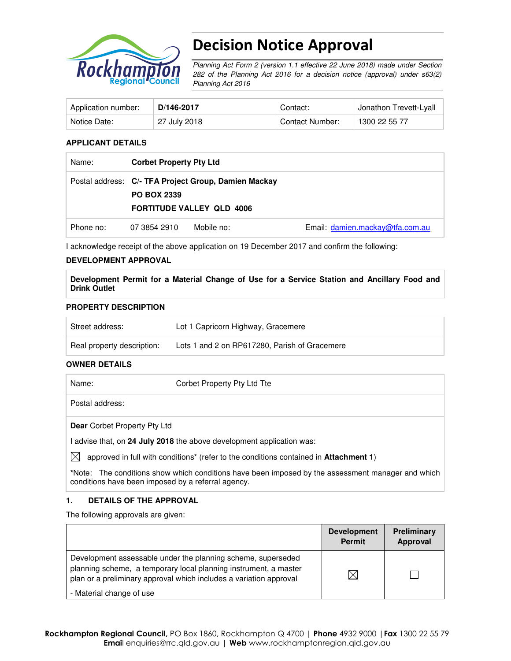

# Decision Notice Approval

Planning Act Form 2 (version 1.1 effective 22 June 2018) made under Section 282 of the Planning Act 2016 for a decision notice (approval) under s63(2) Planning Act 2016

| Application number: | D/146-2017   | Contact:        | Jonathon Trevett-Lyall |
|---------------------|--------------|-----------------|------------------------|
| Notice Date:        | 27 July 2018 | Contact Number: | 1300 22 55 77          |

#### **APPLICANT DETAILS**

| Name:     | <b>Corbet Property Pty Ltd</b> |                                                                                          |                                 |
|-----------|--------------------------------|------------------------------------------------------------------------------------------|---------------------------------|
|           | <b>PO BOX 2339</b>             | Postal address: C/- TFA Project Group, Damien Mackay<br><b>FORTITUDE VALLEY QLD 4006</b> |                                 |
| Phone no: | 07 3854 2910                   | Mobile no:                                                                               | Email: damien.mackay@tfa.com.au |

I acknowledge receipt of the above application on 19 December 2017 and confirm the following:

#### **DEVELOPMENT APPROVAL**

**Development Permit for a Material Change of Use for a Service Station and Ancillary Food and Drink Outlet** 

#### **PROPERTY DESCRIPTION**

| Street address:            | Lot 1 Capricorn Highway, Gracemere            |
|----------------------------|-----------------------------------------------|
| Real property description: | Lots 1 and 2 on RP617280, Parish of Gracemere |

#### **OWNER DETAILS**

| Name:                               | Corbet Property Pty Ltd Tte                                                           |
|-------------------------------------|---------------------------------------------------------------------------------------|
| Postal address:                     |                                                                                       |
| <b>Dear</b> Corbet Property Pty Ltd |                                                                                       |
|                                     | l advise that, on 24 July 2018 the above development application was:                 |
| IXI                                 | approved in full with conditions* (refer to the conditions contained in Attachment 1) |
|                                     |                                                                                       |

**\***Note:The conditions show which conditions have been imposed by the assessment manager and which conditions have been imposed by a referral agency.

## **1. DETAILS OF THE APPROVAL**

The following approvals are given:

|                                                                                                                                                                                                        | <b>Development</b><br><b>Permit</b> | <b>Preliminary</b><br>Approval |
|--------------------------------------------------------------------------------------------------------------------------------------------------------------------------------------------------------|-------------------------------------|--------------------------------|
| Development assessable under the planning scheme, superseded<br>planning scheme, a temporary local planning instrument, a master<br>plan or a preliminary approval which includes a variation approval | $\boxtimes$                         |                                |
| - Material change of use                                                                                                                                                                               |                                     |                                |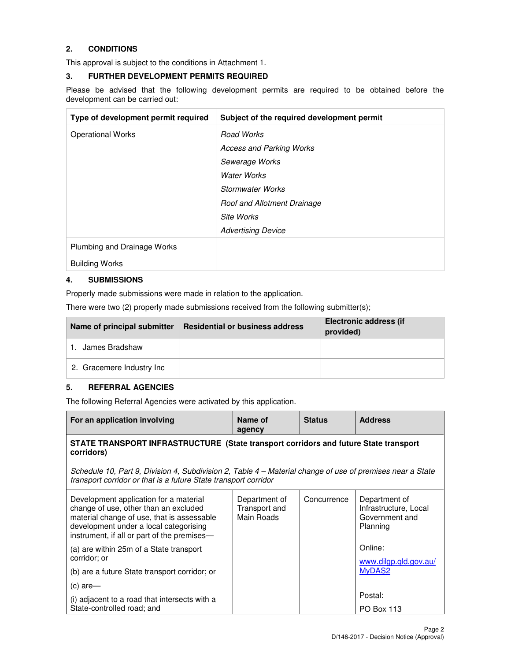## **2. CONDITIONS**

This approval is subject to the conditions in Attachment 1.

#### **3. FURTHER DEVELOPMENT PERMITS REQUIRED**

Please be advised that the following development permits are required to be obtained before the development can be carried out:

| Type of development permit required | Subject of the required development permit |
|-------------------------------------|--------------------------------------------|
| <b>Operational Works</b>            | Road Works                                 |
|                                     | <b>Access and Parking Works</b>            |
|                                     | Sewerage Works                             |
|                                     | <b>Water Works</b>                         |
|                                     | Stormwater Works                           |
|                                     | Roof and Allotment Drainage                |
|                                     | Site Works                                 |
|                                     | <b>Advertising Device</b>                  |
| Plumbing and Drainage Works         |                                            |
| <b>Building Works</b>               |                                            |

## **4. SUBMISSIONS**

Properly made submissions were made in relation to the application.

There were two (2) properly made submissions received from the following submitter(s);

| Name of principal submitter | <b>Residential or business address</b> | <b>Electronic address (if</b><br>provided) |
|-----------------------------|----------------------------------------|--------------------------------------------|
| 1. James Bradshaw           |                                        |                                            |
| 2. Gracemere Industry Inc.  |                                        |                                            |

## **5. REFERRAL AGENCIES**

The following Referral Agencies were activated by this application.

| For an application involving                                                                                                                                                                                           | Name of<br>agency                            | <b>Status</b> | <b>Address</b>                                                       |  |
|------------------------------------------------------------------------------------------------------------------------------------------------------------------------------------------------------------------------|----------------------------------------------|---------------|----------------------------------------------------------------------|--|
| STATE TRANSPORT INFRASTRUCTURE (State transport corridors and future State transport<br>corridors)                                                                                                                     |                                              |               |                                                                      |  |
| Schedule 10, Part 9, Division 4, Subdivision 2, Table 4 – Material change of use of premises near a State<br>transport corridor or that is a future State transport corridor                                           |                                              |               |                                                                      |  |
| Development application for a material<br>change of use, other than an excluded<br>material change of use, that is assessable<br>development under a local categorising<br>instrument, if all or part of the premises- | Department of<br>Transport and<br>Main Roads | Concurrence   | Department of<br>Infrastructure, Local<br>Government and<br>Planning |  |
| (a) are within 25m of a State transport<br>corridor: or                                                                                                                                                                |                                              |               | Online:<br>www.dilgp.gld.gov.au/                                     |  |
| (b) are a future State transport corridor; or                                                                                                                                                                          |                                              |               | MyDAS2                                                               |  |
| (c) are-                                                                                                                                                                                                               |                                              |               |                                                                      |  |
| (i) adjacent to a road that intersects with a<br>State-controlled road; and                                                                                                                                            |                                              |               | Postal:<br><b>PO Box 113</b>                                         |  |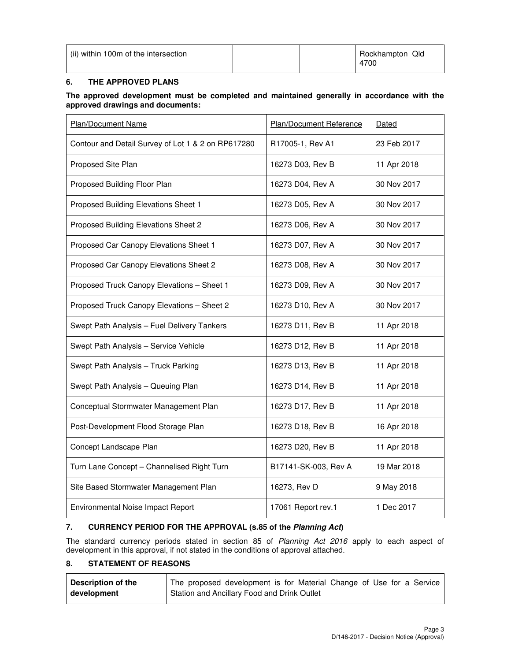| (ii) within 100m of the intersection |  | Rockhampton Qld<br>4700 |
|--------------------------------------|--|-------------------------|
|                                      |  |                         |

## **6. THE APPROVED PLANS**

#### **The approved development must be completed and maintained generally in accordance with the approved drawings and documents:**

| Plan/Document Name                                 | <b>Plan/Document Reference</b> | Dated       |
|----------------------------------------------------|--------------------------------|-------------|
| Contour and Detail Survey of Lot 1 & 2 on RP617280 | R17005-1, Rev A1               | 23 Feb 2017 |
| Proposed Site Plan                                 | 16273 D03, Rev B               | 11 Apr 2018 |
| Proposed Building Floor Plan                       | 16273 D04, Rev A               | 30 Nov 2017 |
| Proposed Building Elevations Sheet 1               | 16273 D05, Rev A               | 30 Nov 2017 |
| Proposed Building Elevations Sheet 2               | 16273 D06, Rev A               | 30 Nov 2017 |
| Proposed Car Canopy Elevations Sheet 1             | 16273 D07, Rev A               | 30 Nov 2017 |
| Proposed Car Canopy Elevations Sheet 2             | 16273 D08, Rev A               | 30 Nov 2017 |
| Proposed Truck Canopy Elevations - Sheet 1         | 16273 D09, Rev A               | 30 Nov 2017 |
| Proposed Truck Canopy Elevations - Sheet 2         | 16273 D10, Rev A               | 30 Nov 2017 |
| Swept Path Analysis - Fuel Delivery Tankers        | 16273 D11, Rev B               | 11 Apr 2018 |
| Swept Path Analysis - Service Vehicle              | 16273 D12, Rev B               | 11 Apr 2018 |
| Swept Path Analysis - Truck Parking                | 16273 D13, Rev B               | 11 Apr 2018 |
| Swept Path Analysis - Queuing Plan                 | 16273 D14, Rev B               | 11 Apr 2018 |
| Conceptual Stormwater Management Plan              | 16273 D17, Rev B               | 11 Apr 2018 |
| Post-Development Flood Storage Plan                | 16273 D18, Rev B               | 16 Apr 2018 |
| Concept Landscape Plan                             | 16273 D20, Rev B               | 11 Apr 2018 |
| Turn Lane Concept - Channelised Right Turn         | B17141-SK-003, Rev A           | 19 Mar 2018 |
| Site Based Stormwater Management Plan              | 16273, Rev D                   | 9 May 2018  |
| Environmental Noise Impact Report                  | 17061 Report rev.1             | 1 Dec 2017  |

#### **7. CURRENCY PERIOD FOR THE APPROVAL (s.85 of the Planning Act)**

The standard currency periods stated in section 85 of Planning Act 2016 apply to each aspect of development in this approval, if not stated in the conditions of approval attached.

## **8. STATEMENT OF REASONS**

| <b>Description of the</b> | The proposed development is for Material Change of Use for a Service |
|---------------------------|----------------------------------------------------------------------|
| development               | Station and Ancillary Food and Drink Outlet                          |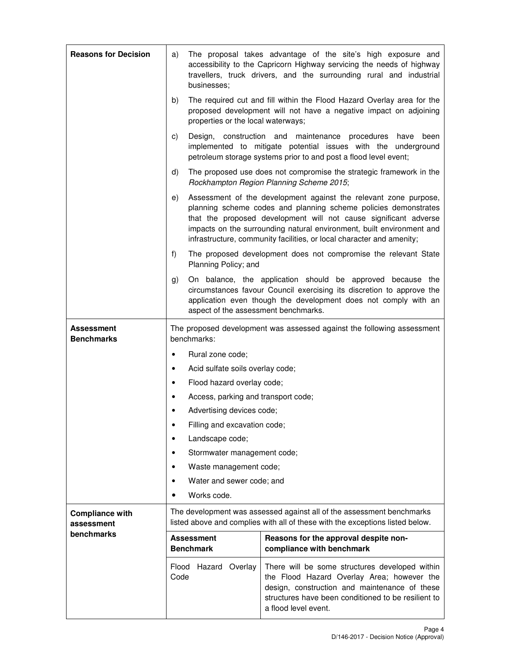| <b>Reasons for Decision</b>          | a)                                                                                                                                                     | businesses;                           | The proposal takes advantage of the site's high exposure and<br>accessibility to the Capricorn Highway servicing the needs of highway<br>travellers, truck drivers, and the surrounding rural and industrial                                                                                                                                              |
|--------------------------------------|--------------------------------------------------------------------------------------------------------------------------------------------------------|---------------------------------------|-----------------------------------------------------------------------------------------------------------------------------------------------------------------------------------------------------------------------------------------------------------------------------------------------------------------------------------------------------------|
|                                      | b)                                                                                                                                                     | properties or the local waterways;    | The required cut and fill within the Flood Hazard Overlay area for the<br>proposed development will not have a negative impact on adjoining                                                                                                                                                                                                               |
|                                      | C)                                                                                                                                                     |                                       | Design, construction and maintenance<br>procedures<br>have<br>been<br>implemented to mitigate potential issues with the underground<br>petroleum storage systems prior to and post a flood level event;                                                                                                                                                   |
|                                      | d)                                                                                                                                                     |                                       | The proposed use does not compromise the strategic framework in the<br>Rockhampton Region Planning Scheme 2015;                                                                                                                                                                                                                                           |
|                                      | e)                                                                                                                                                     |                                       | Assessment of the development against the relevant zone purpose,<br>planning scheme codes and planning scheme policies demonstrates<br>that the proposed development will not cause significant adverse<br>impacts on the surrounding natural environment, built environment and<br>infrastructure, community facilities, or local character and amenity; |
|                                      | f)                                                                                                                                                     | Planning Policy; and                  | The proposed development does not compromise the relevant State                                                                                                                                                                                                                                                                                           |
|                                      | g)                                                                                                                                                     | aspect of the assessment benchmarks.  | On balance, the application should be approved because the<br>circumstances favour Council exercising its discretion to approve the<br>application even though the development does not comply with an                                                                                                                                                    |
| Assessment<br><b>Benchmarks</b>      | The proposed development was assessed against the following assessment<br>benchmarks:                                                                  |                                       |                                                                                                                                                                                                                                                                                                                                                           |
|                                      | ٠                                                                                                                                                      | Rural zone code;                      |                                                                                                                                                                                                                                                                                                                                                           |
|                                      | ٠                                                                                                                                                      | Acid sulfate soils overlay code;      |                                                                                                                                                                                                                                                                                                                                                           |
|                                      |                                                                                                                                                        | Flood hazard overlay code;            |                                                                                                                                                                                                                                                                                                                                                           |
|                                      |                                                                                                                                                        | Access, parking and transport code;   |                                                                                                                                                                                                                                                                                                                                                           |
|                                      |                                                                                                                                                        | Advertising devices code;             |                                                                                                                                                                                                                                                                                                                                                           |
|                                      |                                                                                                                                                        | Filling and excavation code;          |                                                                                                                                                                                                                                                                                                                                                           |
|                                      |                                                                                                                                                        | Landscape code;                       |                                                                                                                                                                                                                                                                                                                                                           |
|                                      |                                                                                                                                                        | Stormwater management code;           |                                                                                                                                                                                                                                                                                                                                                           |
|                                      |                                                                                                                                                        | Waste management code;                |                                                                                                                                                                                                                                                                                                                                                           |
|                                      |                                                                                                                                                        | Water and sewer code; and             |                                                                                                                                                                                                                                                                                                                                                           |
|                                      |                                                                                                                                                        | Works code.                           |                                                                                                                                                                                                                                                                                                                                                           |
| <b>Compliance with</b><br>assessment | The development was assessed against all of the assessment benchmarks<br>listed above and complies with all of these with the exceptions listed below. |                                       |                                                                                                                                                                                                                                                                                                                                                           |
| benchmarks                           |                                                                                                                                                        | <b>Assessment</b><br><b>Benchmark</b> | Reasons for the approval despite non-<br>compliance with benchmark                                                                                                                                                                                                                                                                                        |
|                                      | Flood<br>Code                                                                                                                                          | Hazard<br>Overlay                     | There will be some structures developed within<br>the Flood Hazard Overlay Area; however the<br>design, construction and maintenance of these<br>structures have been conditioned to be resilient to<br>a flood level event.                                                                                                                              |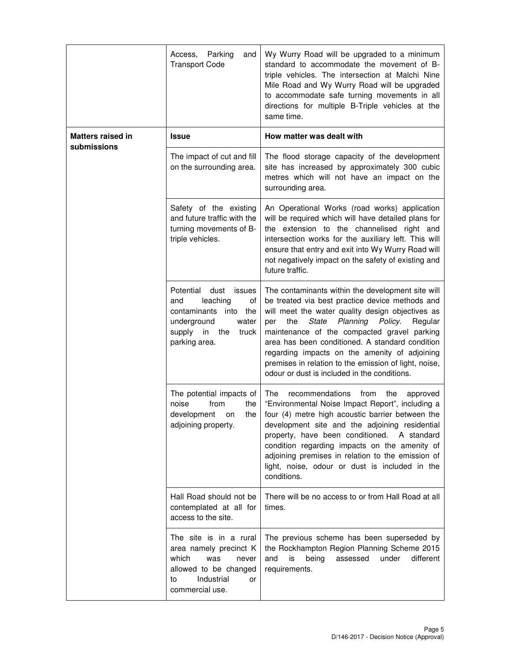|                                         | Parking<br>Access,<br>and<br><b>Transport Code</b>                                                                                                     | Wy Wurry Road will be upgraded to a minimum<br>standard to accommodate the movement of B-<br>triple vehicles. The intersection at Malchi Nine<br>Mile Road and Wy Wurry Road will be upgraded<br>to accommodate safe turning movements in all<br>directions for multiple B-Triple vehicles at the<br>same time.                                                                                                                                                               |
|-----------------------------------------|--------------------------------------------------------------------------------------------------------------------------------------------------------|-------------------------------------------------------------------------------------------------------------------------------------------------------------------------------------------------------------------------------------------------------------------------------------------------------------------------------------------------------------------------------------------------------------------------------------------------------------------------------|
| <b>Matters raised in</b><br>submissions | <b>Issue</b>                                                                                                                                           | How matter was dealt with                                                                                                                                                                                                                                                                                                                                                                                                                                                     |
|                                         | The impact of cut and fill<br>on the surrounding area.                                                                                                 | The flood storage capacity of the development<br>site has increased by approximately 300 cubic<br>metres which will not have an impact on the<br>surrounding area.                                                                                                                                                                                                                                                                                                            |
|                                         | Safety of the existing<br>and future traffic with the<br>turning movements of B-<br>triple vehicles.                                                   | An Operational Works (road works) application<br>will be required which will have detailed plans for<br>the extension to the channelised right and<br>intersection works for the auxiliary left. This will<br>ensure that entry and exit into Wy Wurry Road will<br>not negatively impact on the safety of existing and<br>future traffic.                                                                                                                                    |
|                                         | Potential<br>dust<br>issues<br>leaching<br>and<br>οf<br>contaminants into the<br>underground<br>water<br>supply<br>in<br>the<br>truck<br>parking area. | The contaminants within the development site will<br>be treated via best practice device methods and<br>will meet the water quality design objectives as<br>Planning<br>the<br>State<br>Policy.<br>Regular<br>per<br>maintenance of the compacted gravel parking<br>area has been conditioned. A standard condition<br>regarding impacts on the amenity of adjoining<br>premises in relation to the emission of light, noise,<br>odour or dust is included in the conditions. |
|                                         | The potential impacts of<br>noise<br>from<br>the<br>the<br>development<br>on<br>adjoining property.                                                    | The<br>recommendations<br>from<br>the<br>approved<br>"Environmental Noise Impact Report", including a<br>four (4) metre high acoustic barrier between the<br>development site and the adjoining residential<br>property, have been conditioned.<br>A standard<br>condition regarding impacts on the amenity of<br>adjoining premises in relation to the emission of<br>light, noise, odour or dust is included in the<br>conditions.                                          |
|                                         | Hall Road should not be<br>contemplated at all for<br>access to the site.                                                                              | There will be no access to or from Hall Road at all<br>times.                                                                                                                                                                                                                                                                                                                                                                                                                 |
|                                         | The site is in a rural<br>area namely precinct K<br>which<br>was<br>never<br>allowed to be changed<br>Industrial<br>to<br>or<br>commercial use.        | The previous scheme has been superseded by<br>the Rockhampton Region Planning Scheme 2015<br>is<br>being<br>assessed<br>under<br>different<br>and<br>requirements.                                                                                                                                                                                                                                                                                                            |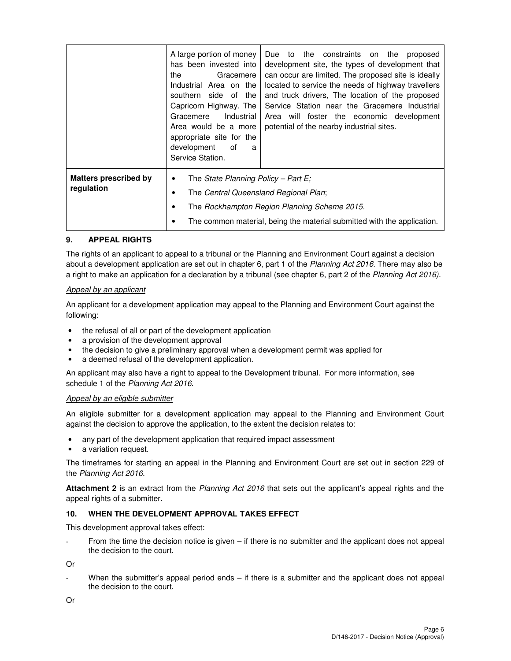|                                            | A large portion of money<br>has been invested into<br>the<br>Gracemere<br>Industrial Area on the<br>southern side of the<br>Capricorn Highway. The<br>Industrial<br>Gracemere<br>Area would be a more<br>appropriate site for the<br>development<br>of<br>a<br>Service Station. | Due to the constraints on the<br>proposed<br>development site, the types of development that<br>can occur are limited. The proposed site is ideally<br>located to service the needs of highway travellers<br>and truck drivers, The location of the proposed<br>Service Station near the Gracemere Industrial<br>Area will foster the economic development<br>potential of the nearby industrial sites. |
|--------------------------------------------|---------------------------------------------------------------------------------------------------------------------------------------------------------------------------------------------------------------------------------------------------------------------------------|---------------------------------------------------------------------------------------------------------------------------------------------------------------------------------------------------------------------------------------------------------------------------------------------------------------------------------------------------------------------------------------------------------|
| <b>Matters prescribed by</b><br>regulation | The State Planning Policy – Part E;<br>٠<br>The Central Queensland Regional Plan;<br>The Rockhampton Region Planning Scheme 2015.<br>The common material, being the material submitted with the application.                                                                    |                                                                                                                                                                                                                                                                                                                                                                                                         |

#### **9. APPEAL RIGHTS**

The rights of an applicant to appeal to a tribunal or the Planning and Environment Court against a decision about a development application are set out in chapter 6, part 1 of the Planning Act 2016. There may also be a right to make an application for a declaration by a tribunal (see chapter 6, part 2 of the Planning Act 2016).

#### Appeal by an applicant

An applicant for a development application may appeal to the Planning and Environment Court against the following:

- the refusal of all or part of the development application
- a provision of the development approval
- the decision to give a preliminary approval when a development permit was applied for
- a deemed refusal of the development application.

An applicant may also have a right to appeal to the Development tribunal. For more information, see schedule 1 of the Planning Act 2016.

#### Appeal by an eligible submitter

An eligible submitter for a development application may appeal to the Planning and Environment Court against the decision to approve the application, to the extent the decision relates to:

- any part of the development application that required impact assessment
- a variation request.

The timeframes for starting an appeal in the Planning and Environment Court are set out in section 229 of the Planning Act 2016.

**Attachment 2** is an extract from the Planning Act 2016 that sets out the applicant's appeal rights and the appeal rights of a submitter.

#### **10. WHEN THE DEVELOPMENT APPROVAL TAKES EFFECT**

This development approval takes effect:

From the time the decision notice is given  $-$  if there is no submitter and the applicant does not appeal the decision to the court.

Or

When the submitter's appeal period ends  $-$  if there is a submitter and the applicant does not appeal the decision to the court.

Or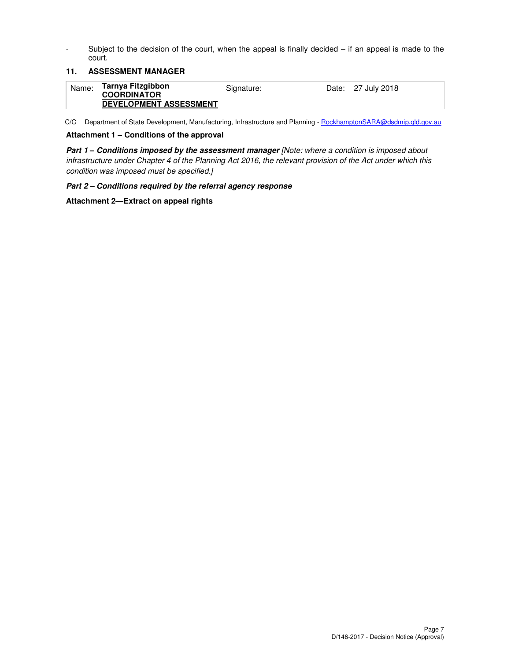- Subject to the decision of the court, when the appeal is finally decided – if an appeal is made to the court.

#### **11. ASSESSMENT MANAGER**

| Name: | Tarnya Fitzgibbon<br><b>COORDINATOR</b><br><b>DEVELOPMENT ASSESSMENT</b> | Signature: |  | Date: 27 July 2018 |
|-------|--------------------------------------------------------------------------|------------|--|--------------------|
|-------|--------------------------------------------------------------------------|------------|--|--------------------|

C/C Department of State Development, Manufacturing, Infrastructure and Planning - RockhamptonSARA@dsdmip.qld.gov.au

#### **Attachment 1 – Conditions of the approval**

**Part 1 – Conditions imposed by the assessment manager** [Note: where a condition is imposed about infrastructure under Chapter 4 of the Planning Act 2016, the relevant provision of the Act under which this condition was imposed must be specified.]

#### **Part 2 – Conditions required by the referral agency response**

#### **Attachment 2—Extract on appeal rights**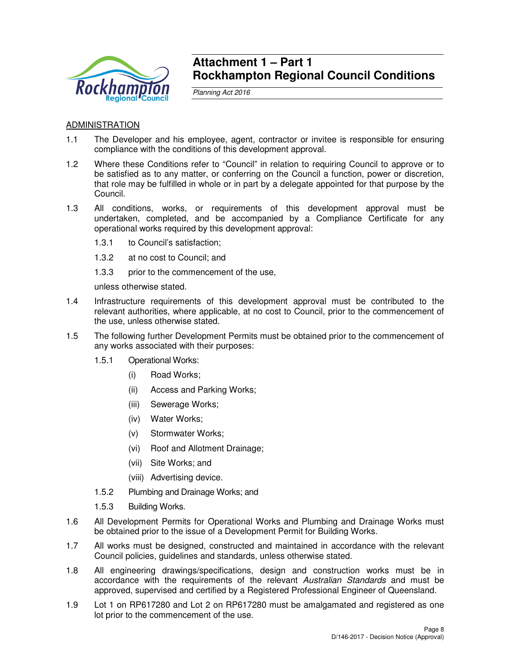

## **Attachment 1 – Part 1 Rockhampton Regional Council Conditions**

Planning Act 2016

## ADMINISTRATION

- 1.1 The Developer and his employee, agent, contractor or invitee is responsible for ensuring compliance with the conditions of this development approval.
- 1.2 Where these Conditions refer to "Council" in relation to requiring Council to approve or to be satisfied as to any matter, or conferring on the Council a function, power or discretion, that role may be fulfilled in whole or in part by a delegate appointed for that purpose by the Council.
- 1.3 All conditions, works, or requirements of this development approval must be undertaken, completed, and be accompanied by a Compliance Certificate for any operational works required by this development approval:
	- 1.3.1 to Council's satisfaction;
	- 1.3.2 at no cost to Council; and
	- 1.3.3 prior to the commencement of the use,

unless otherwise stated.

- 1.4 Infrastructure requirements of this development approval must be contributed to the relevant authorities, where applicable, at no cost to Council, prior to the commencement of the use, unless otherwise stated.
- 1.5 The following further Development Permits must be obtained prior to the commencement of any works associated with their purposes:
	- 1.5.1 Operational Works:
		- (i) Road Works;
		- (ii) Access and Parking Works;
		- (iii) Sewerage Works;
		- (iv) Water Works;
		- (v) Stormwater Works;
		- (vi) Roof and Allotment Drainage;
		- (vii) Site Works; and
		- (viii) Advertising device.
	- 1.5.2 Plumbing and Drainage Works; and
	- 1.5.3 Building Works.
- 1.6 All Development Permits for Operational Works and Plumbing and Drainage Works must be obtained prior to the issue of a Development Permit for Building Works.
- 1.7 All works must be designed, constructed and maintained in accordance with the relevant Council policies, guidelines and standards, unless otherwise stated.
- 1.8 All engineering drawings/specifications, design and construction works must be in accordance with the requirements of the relevant Australian Standards and must be approved, supervised and certified by a Registered Professional Engineer of Queensland.
- 1.9 Lot 1 on RP617280 and Lot 2 on RP617280 must be amalgamated and registered as one lot prior to the commencement of the use.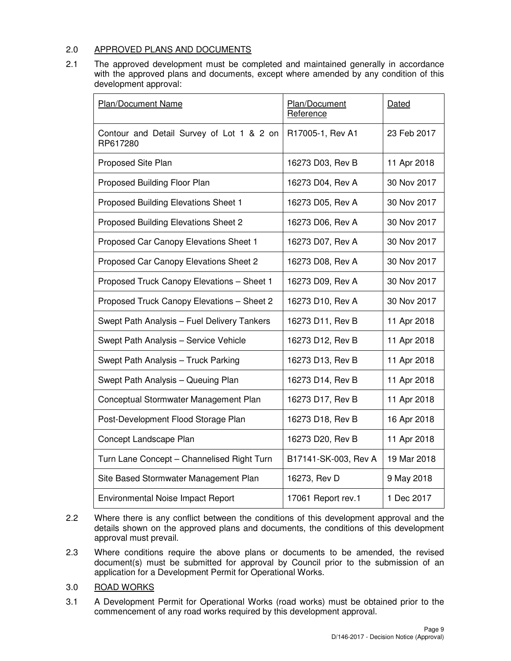## 2.0 APPROVED PLANS AND DOCUMENTS

2.1 The approved development must be completed and maintained generally in accordance with the approved plans and documents, except where amended by any condition of this development approval:

| <b>Plan/Document Name</b>                             | Plan/Document<br>Reference | Dated       |
|-------------------------------------------------------|----------------------------|-------------|
| Contour and Detail Survey of Lot 1 & 2 on<br>RP617280 | R17005-1, Rev A1           | 23 Feb 2017 |
| Proposed Site Plan                                    | 16273 D03, Rev B           | 11 Apr 2018 |
| Proposed Building Floor Plan                          | 16273 D04, Rev A           | 30 Nov 2017 |
| Proposed Building Elevations Sheet 1                  | 16273 D05, Rev A           | 30 Nov 2017 |
| Proposed Building Elevations Sheet 2                  | 16273 D06, Rev A           | 30 Nov 2017 |
| Proposed Car Canopy Elevations Sheet 1                | 16273 D07, Rev A           | 30 Nov 2017 |
| Proposed Car Canopy Elevations Sheet 2                | 16273 D08, Rev A           | 30 Nov 2017 |
| Proposed Truck Canopy Elevations - Sheet 1            | 16273 D09, Rev A           | 30 Nov 2017 |
| Proposed Truck Canopy Elevations - Sheet 2            | 16273 D10, Rev A           | 30 Nov 2017 |
| Swept Path Analysis - Fuel Delivery Tankers           | 16273 D11, Rev B           | 11 Apr 2018 |
| Swept Path Analysis - Service Vehicle                 | 16273 D12, Rev B           | 11 Apr 2018 |
| Swept Path Analysis - Truck Parking                   | 16273 D13, Rev B           | 11 Apr 2018 |
| Swept Path Analysis - Queuing Plan                    | 16273 D14, Rev B           | 11 Apr 2018 |
| Conceptual Stormwater Management Plan                 | 16273 D17, Rev B           | 11 Apr 2018 |
| Post-Development Flood Storage Plan                   | 16273 D18, Rev B           | 16 Apr 2018 |
| Concept Landscape Plan                                | 16273 D20, Rev B           | 11 Apr 2018 |
| Turn Lane Concept - Channelised Right Turn            | B17141-SK-003, Rev A       | 19 Mar 2018 |
| Site Based Stormwater Management Plan                 | 16273, Rev D               | 9 May 2018  |
| <b>Environmental Noise Impact Report</b>              | 17061 Report rev.1         | 1 Dec 2017  |

- 2.2 Where there is any conflict between the conditions of this development approval and the details shown on the approved plans and documents, the conditions of this development approval must prevail.
- 2.3 Where conditions require the above plans or documents to be amended, the revised document(s) must be submitted for approval by Council prior to the submission of an application for a Development Permit for Operational Works.
- 3.0 ROAD WORKS
- 3.1 A Development Permit for Operational Works (road works) must be obtained prior to the commencement of any road works required by this development approval.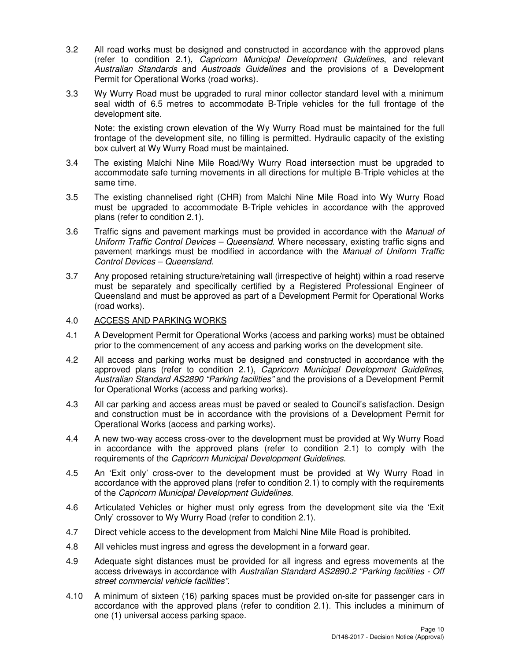- 3.2 All road works must be designed and constructed in accordance with the approved plans (refer to condition 2.1), Capricorn Municipal Development Guidelines, and relevant Australian Standards and Austroads Guidelines and the provisions of a Development Permit for Operational Works (road works).
- 3.3 Wy Wurry Road must be upgraded to rural minor collector standard level with a minimum seal width of 6.5 metres to accommodate B-Triple vehicles for the full frontage of the development site.

Note: the existing crown elevation of the Wy Wurry Road must be maintained for the full frontage of the development site, no filling is permitted. Hydraulic capacity of the existing box culvert at Wy Wurry Road must be maintained.

- 3.4 The existing Malchi Nine Mile Road/Wy Wurry Road intersection must be upgraded to accommodate safe turning movements in all directions for multiple B-Triple vehicles at the same time.
- 3.5 The existing channelised right (CHR) from Malchi Nine Mile Road into Wy Wurry Road must be upgraded to accommodate B-Triple vehicles in accordance with the approved plans (refer to condition 2.1).
- 3.6 Traffic signs and pavement markings must be provided in accordance with the Manual of Uniform Traffic Control Devices – Queensland. Where necessary, existing traffic signs and pavement markings must be modified in accordance with the Manual of Uniform Traffic Control Devices – Queensland.
- 3.7 Any proposed retaining structure/retaining wall (irrespective of height) within a road reserve must be separately and specifically certified by a Registered Professional Engineer of Queensland and must be approved as part of a Development Permit for Operational Works (road works).

## 4.0 ACCESS AND PARKING WORKS

- 4.1 A Development Permit for Operational Works (access and parking works) must be obtained prior to the commencement of any access and parking works on the development site.
- 4.2 All access and parking works must be designed and constructed in accordance with the approved plans (refer to condition 2.1), Capricorn Municipal Development Guidelines, Australian Standard AS2890 "Parking facilities" and the provisions of a Development Permit for Operational Works (access and parking works).
- 4.3 All car parking and access areas must be paved or sealed to Council's satisfaction. Design and construction must be in accordance with the provisions of a Development Permit for Operational Works (access and parking works).
- 4.4 A new two-way access cross-over to the development must be provided at Wy Wurry Road in accordance with the approved plans (refer to condition 2.1) to comply with the requirements of the Capricorn Municipal Development Guidelines.
- 4.5 An 'Exit only' cross-over to the development must be provided at Wy Wurry Road in accordance with the approved plans (refer to condition 2.1) to comply with the requirements of the Capricorn Municipal Development Guidelines.
- 4.6 Articulated Vehicles or higher must only egress from the development site via the 'Exit Only' crossover to Wy Wurry Road (refer to condition 2.1).
- 4.7 Direct vehicle access to the development from Malchi Nine Mile Road is prohibited.
- 4.8 All vehicles must ingress and egress the development in a forward gear.
- 4.9 Adequate sight distances must be provided for all ingress and egress movements at the access driveways in accordance with Australian Standard AS2890.2 "Parking facilities - Off street commercial vehicle facilities".
- 4.10 A minimum of sixteen (16) parking spaces must be provided on-site for passenger cars in accordance with the approved plans (refer to condition 2.1). This includes a minimum of one (1) universal access parking space.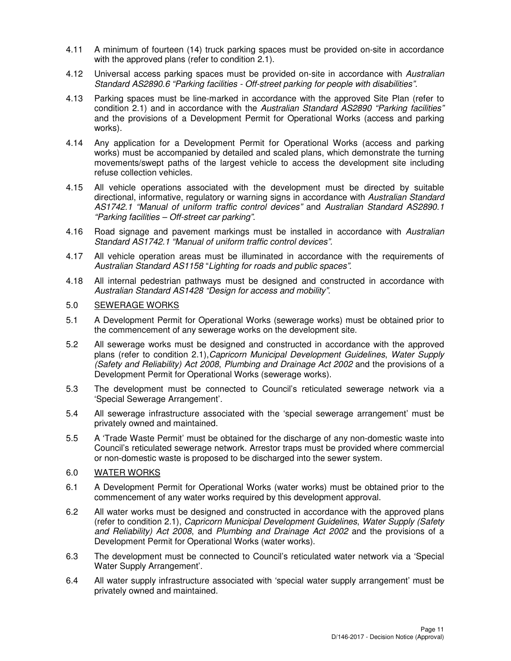- 4.11 A minimum of fourteen (14) truck parking spaces must be provided on-site in accordance with the approved plans (refer to condition 2.1).
- 4.12 Universal access parking spaces must be provided on-site in accordance with Australian Standard AS2890.6 "Parking facilities - Off-street parking for people with disabilities".
- 4.13 Parking spaces must be line-marked in accordance with the approved Site Plan (refer to condition 2.1) and in accordance with the Australian Standard AS2890 "Parking facilities" and the provisions of a Development Permit for Operational Works (access and parking works).
- 4.14 Any application for a Development Permit for Operational Works (access and parking works) must be accompanied by detailed and scaled plans, which demonstrate the turning movements/swept paths of the largest vehicle to access the development site including refuse collection vehicles.
- 4.15 All vehicle operations associated with the development must be directed by suitable directional, informative, regulatory or warning signs in accordance with Australian Standard AS1742.1 "Manual of uniform traffic control devices" and Australian Standard AS2890.1 "Parking facilities – Off-street car parking".
- 4.16 Road signage and pavement markings must be installed in accordance with Australian Standard AS1742.1 "Manual of uniform traffic control devices".
- 4.17 All vehicle operation areas must be illuminated in accordance with the requirements of Australian Standard AS1158 "Lighting for roads and public spaces".
- 4.18 All internal pedestrian pathways must be designed and constructed in accordance with Australian Standard AS1428 "Design for access and mobility".

## 5.0 SEWERAGE WORKS

- 5.1 A Development Permit for Operational Works (sewerage works) must be obtained prior to the commencement of any sewerage works on the development site.
- 5.2 All sewerage works must be designed and constructed in accordance with the approved plans (refer to condition 2.1),Capricorn Municipal Development Guidelines, Water Supply (Safety and Reliability) Act 2008, Plumbing and Drainage Act 2002 and the provisions of a Development Permit for Operational Works (sewerage works).
- 5.3 The development must be connected to Council's reticulated sewerage network via a 'Special Sewerage Arrangement'.
- 5.4 All sewerage infrastructure associated with the 'special sewerage arrangement' must be privately owned and maintained.
- 5.5 A 'Trade Waste Permit' must be obtained for the discharge of any non-domestic waste into Council's reticulated sewerage network. Arrestor traps must be provided where commercial or non-domestic waste is proposed to be discharged into the sewer system.

## 6.0 WATER WORKS

- 6.1 A Development Permit for Operational Works (water works) must be obtained prior to the commencement of any water works required by this development approval.
- 6.2 All water works must be designed and constructed in accordance with the approved plans (refer to condition 2.1), Capricorn Municipal Development Guidelines, Water Supply (Safety and Reliability) Act 2008, and Plumbing and Drainage Act 2002 and the provisions of a Development Permit for Operational Works (water works).
- 6.3 The development must be connected to Council's reticulated water network via a 'Special Water Supply Arrangement'.
- 6.4 All water supply infrastructure associated with 'special water supply arrangement' must be privately owned and maintained.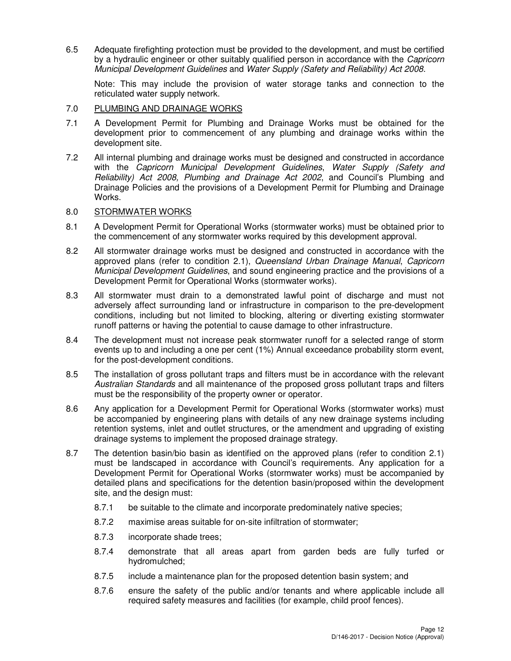6.5 Adequate firefighting protection must be provided to the development, and must be certified by a hydraulic engineer or other suitably qualified person in accordance with the Capricorn Municipal Development Guidelines and Water Supply (Safety and Reliability) Act 2008.

Note: This may include the provision of water storage tanks and connection to the reticulated water supply network.

## 7.0 PLUMBING AND DRAINAGE WORKS

- 7.1 A Development Permit for Plumbing and Drainage Works must be obtained for the development prior to commencement of any plumbing and drainage works within the development site.
- 7.2 All internal plumbing and drainage works must be designed and constructed in accordance with the Capricorn Municipal Development Guidelines, Water Supply (Safety and Reliability) Act 2008, Plumbing and Drainage Act 2002, and Council's Plumbing and Drainage Policies and the provisions of a Development Permit for Plumbing and Drainage Works.

## 8.0 STORMWATER WORKS

- 8.1 A Development Permit for Operational Works (stormwater works) must be obtained prior to the commencement of any stormwater works required by this development approval.
- 8.2 All stormwater drainage works must be designed and constructed in accordance with the approved plans (refer to condition 2.1), Queensland Urban Drainage Manual, Capricorn Municipal Development Guidelines, and sound engineering practice and the provisions of a Development Permit for Operational Works (stormwater works).
- 8.3 All stormwater must drain to a demonstrated lawful point of discharge and must not adversely affect surrounding land or infrastructure in comparison to the pre-development conditions, including but not limited to blocking, altering or diverting existing stormwater runoff patterns or having the potential to cause damage to other infrastructure.
- 8.4 The development must not increase peak stormwater runoff for a selected range of storm events up to and including a one per cent (1%) Annual exceedance probability storm event, for the post-development conditions.
- 8.5 The installation of gross pollutant traps and filters must be in accordance with the relevant Australian Standards and all maintenance of the proposed gross pollutant traps and filters must be the responsibility of the property owner or operator.
- 8.6 Any application for a Development Permit for Operational Works (stormwater works) must be accompanied by engineering plans with details of any new drainage systems including retention systems, inlet and outlet structures, or the amendment and upgrading of existing drainage systems to implement the proposed drainage strategy.
- 8.7 The detention basin/bio basin as identified on the approved plans (refer to condition 2.1) must be landscaped in accordance with Council's requirements. Any application for a Development Permit for Operational Works (stormwater works) must be accompanied by detailed plans and specifications for the detention basin/proposed within the development site, and the design must:
	- 8.7.1 be suitable to the climate and incorporate predominately native species;
	- 8.7.2 maximise areas suitable for on-site infiltration of stormwater;
	- 8.7.3 incorporate shade trees;
	- 8.7.4 demonstrate that all areas apart from garden beds are fully turfed or hydromulched;
	- 8.7.5 include a maintenance plan for the proposed detention basin system; and
	- 8.7.6 ensure the safety of the public and/or tenants and where applicable include all required safety measures and facilities (for example, child proof fences).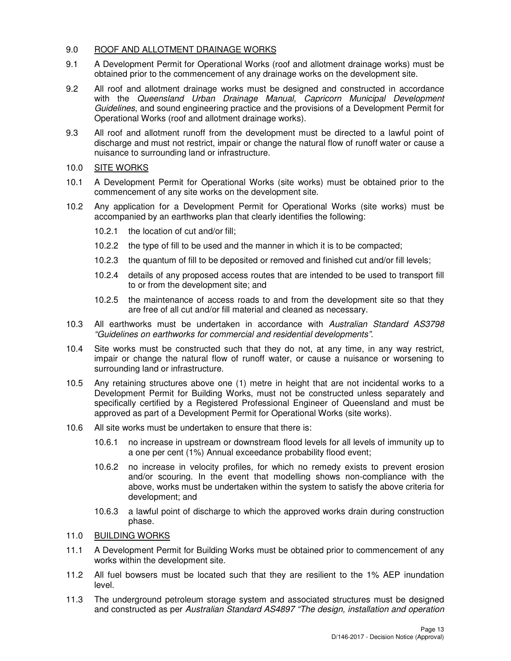## 9.0 ROOF AND ALLOTMENT DRAINAGE WORKS

- 9.1 A Development Permit for Operational Works (roof and allotment drainage works) must be obtained prior to the commencement of any drainage works on the development site.
- 9.2 All roof and allotment drainage works must be designed and constructed in accordance with the Queensland Urban Drainage Manual, Capricorn Municipal Development Guidelines, and sound engineering practice and the provisions of a Development Permit for Operational Works (roof and allotment drainage works).
- 9.3 All roof and allotment runoff from the development must be directed to a lawful point of discharge and must not restrict, impair or change the natural flow of runoff water or cause a nuisance to surrounding land or infrastructure.
- 10.0 SITE WORKS
- 10.1 A Development Permit for Operational Works (site works) must be obtained prior to the commencement of any site works on the development site.
- 10.2 Any application for a Development Permit for Operational Works (site works) must be accompanied by an earthworks plan that clearly identifies the following:
	- 10.2.1 the location of cut and/or fill;
	- 10.2.2 the type of fill to be used and the manner in which it is to be compacted;
	- 10.2.3 the quantum of fill to be deposited or removed and finished cut and/or fill levels;
	- 10.2.4 details of any proposed access routes that are intended to be used to transport fill to or from the development site; and
	- 10.2.5 the maintenance of access roads to and from the development site so that they are free of all cut and/or fill material and cleaned as necessary.
- 10.3 All earthworks must be undertaken in accordance with Australian Standard AS3798 "Guidelines on earthworks for commercial and residential developments".
- 10.4 Site works must be constructed such that they do not, at any time, in any way restrict, impair or change the natural flow of runoff water, or cause a nuisance or worsening to surrounding land or infrastructure.
- 10.5 Any retaining structures above one (1) metre in height that are not incidental works to a Development Permit for Building Works, must not be constructed unless separately and specifically certified by a Registered Professional Engineer of Queensland and must be approved as part of a Development Permit for Operational Works (site works).
- 10.6 All site works must be undertaken to ensure that there is:
	- 10.6.1 no increase in upstream or downstream flood levels for all levels of immunity up to a one per cent (1%) Annual exceedance probability flood event;
	- 10.6.2 no increase in velocity profiles, for which no remedy exists to prevent erosion and/or scouring. In the event that modelling shows non-compliance with the above, works must be undertaken within the system to satisfy the above criteria for development; and
	- 10.6.3 a lawful point of discharge to which the approved works drain during construction phase.
- 11.0 BUILDING WORKS
- 11.1 A Development Permit for Building Works must be obtained prior to commencement of any works within the development site.
- 11.2 All fuel bowsers must be located such that they are resilient to the 1% AEP inundation level.
- 11.3 The underground petroleum storage system and associated structures must be designed and constructed as per Australian Standard AS4897 "The design, installation and operation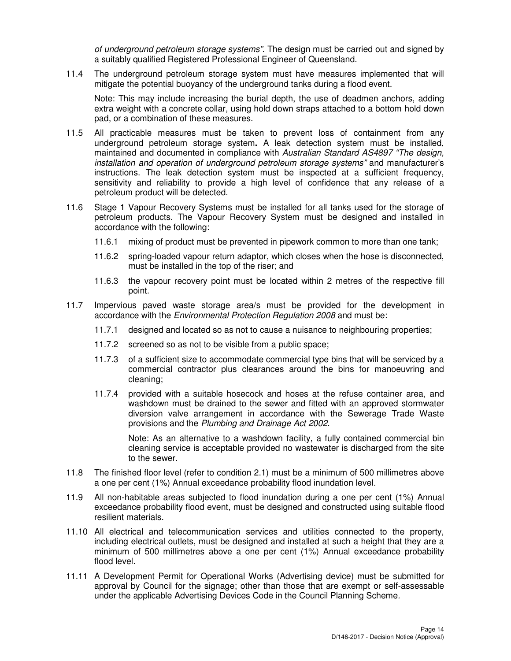of underground petroleum storage systems". The design must be carried out and signed by a suitably qualified Registered Professional Engineer of Queensland.

11.4 The underground petroleum storage system must have measures implemented that will mitigate the potential buoyancy of the underground tanks during a flood event.

Note: This may include increasing the burial depth, the use of deadmen anchors, adding extra weight with a concrete collar, using hold down straps attached to a bottom hold down pad, or a combination of these measures.

- 11.5 All practicable measures must be taken to prevent loss of containment from any underground petroleum storage system**.** A leak detection system must be installed, maintained and documented in compliance with Australian Standard AS4897 "The design, installation and operation of underground petroleum storage systems" and manufacturer's instructions. The leak detection system must be inspected at a sufficient frequency, sensitivity and reliability to provide a high level of confidence that any release of a petroleum product will be detected.
- 11.6 Stage 1 Vapour Recovery Systems must be installed for all tanks used for the storage of petroleum products. The Vapour Recovery System must be designed and installed in accordance with the following:
	- 11.6.1 mixing of product must be prevented in pipework common to more than one tank;
	- 11.6.2 spring-loaded vapour return adaptor, which closes when the hose is disconnected, must be installed in the top of the riser; and
	- 11.6.3 the vapour recovery point must be located within 2 metres of the respective fill point.
- 11.7 Impervious paved waste storage area/s must be provided for the development in accordance with the Environmental Protection Regulation 2008 and must be:
	- 11.7.1 designed and located so as not to cause a nuisance to neighbouring properties;
	- 11.7.2 screened so as not to be visible from a public space;
	- 11.7.3 of a sufficient size to accommodate commercial type bins that will be serviced by a commercial contractor plus clearances around the bins for manoeuvring and cleaning;
	- 11.7.4 provided with a suitable hosecock and hoses at the refuse container area, and washdown must be drained to the sewer and fitted with an approved stormwater diversion valve arrangement in accordance with the Sewerage Trade Waste provisions and the Plumbing and Drainage Act 2002.

Note: As an alternative to a washdown facility, a fully contained commercial bin cleaning service is acceptable provided no wastewater is discharged from the site to the sewer.

- 11.8 The finished floor level (refer to condition 2.1) must be a minimum of 500 millimetres above a one per cent (1%) Annual exceedance probability flood inundation level.
- 11.9 All non-habitable areas subjected to flood inundation during a one per cent (1%) Annual exceedance probability flood event, must be designed and constructed using suitable flood resilient materials.
- 11.10 All electrical and telecommunication services and utilities connected to the property, including electrical outlets, must be designed and installed at such a height that they are a minimum of 500 millimetres above a one per cent (1%) Annual exceedance probability flood level.
- 11.11 A Development Permit for Operational Works (Advertising device) must be submitted for approval by Council for the signage; other than those that are exempt or self-assessable under the applicable Advertising Devices Code in the Council Planning Scheme.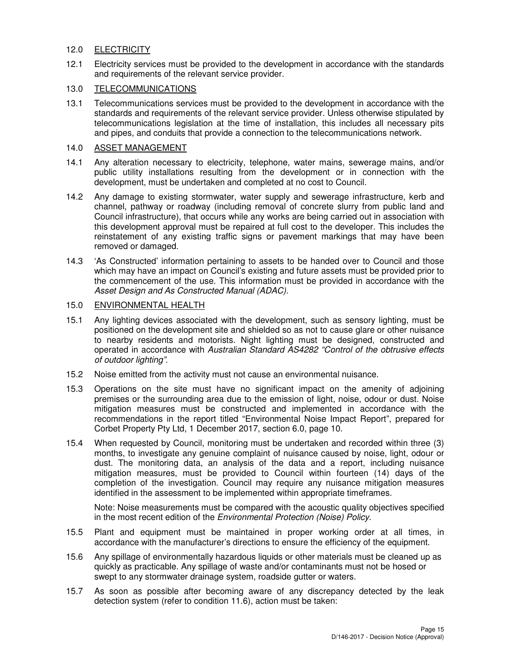## 12.0 ELECTRICITY

12.1 Electricity services must be provided to the development in accordance with the standards and requirements of the relevant service provider.

## 13.0 TELECOMMUNICATIONS

13.1 Telecommunications services must be provided to the development in accordance with the standards and requirements of the relevant service provider. Unless otherwise stipulated by telecommunications legislation at the time of installation, this includes all necessary pits and pipes, and conduits that provide a connection to the telecommunications network.

#### 14.0 ASSET MANAGEMENT

- 14.1 Any alteration necessary to electricity, telephone, water mains, sewerage mains, and/or public utility installations resulting from the development or in connection with the development, must be undertaken and completed at no cost to Council.
- 14.2 Any damage to existing stormwater, water supply and sewerage infrastructure, kerb and channel, pathway or roadway (including removal of concrete slurry from public land and Council infrastructure), that occurs while any works are being carried out in association with this development approval must be repaired at full cost to the developer. This includes the reinstatement of any existing traffic signs or pavement markings that may have been removed or damaged.
- 14.3 'As Constructed' information pertaining to assets to be handed over to Council and those which may have an impact on Council's existing and future assets must be provided prior to the commencement of the use. This information must be provided in accordance with the Asset Design and As Constructed Manual (ADAC).

#### 15.0 ENVIRONMENTAL HEALTH

- 15.1 Any lighting devices associated with the development, such as sensory lighting, must be positioned on the development site and shielded so as not to cause glare or other nuisance to nearby residents and motorists. Night lighting must be designed, constructed and operated in accordance with Australian Standard AS4282 "Control of the obtrusive effects of outdoor lighting".
- 15.2 Noise emitted from the activity must not cause an environmental nuisance.
- 15.3 Operations on the site must have no significant impact on the amenity of adjoining premises or the surrounding area due to the emission of light, noise, odour or dust. Noise mitigation measures must be constructed and implemented in accordance with the recommendations in the report titled "Environmental Noise Impact Report", prepared for Corbet Property Pty Ltd, 1 December 2017, section 6.0, page 10.
- 15.4 When requested by Council, monitoring must be undertaken and recorded within three (3) months, to investigate any genuine complaint of nuisance caused by noise, light, odour or dust. The monitoring data, an analysis of the data and a report, including nuisance mitigation measures, must be provided to Council within fourteen (14) days of the completion of the investigation. Council may require any nuisance mitigation measures identified in the assessment to be implemented within appropriate timeframes.

Note: Noise measurements must be compared with the acoustic quality objectives specified in the most recent edition of the Environmental Protection (Noise) Policy.

- 15.5 Plant and equipment must be maintained in proper working order at all times, in accordance with the manufacturer's directions to ensure the efficiency of the equipment.
- 15.6 Any spillage of environmentally hazardous liquids or other materials must be cleaned up as quickly as practicable. Any spillage of waste and/or contaminants must not be hosed or swept to any stormwater drainage system, roadside gutter or waters.
- 15.7 As soon as possible after becoming aware of any discrepancy detected by the leak detection system (refer to condition 11.6), action must be taken: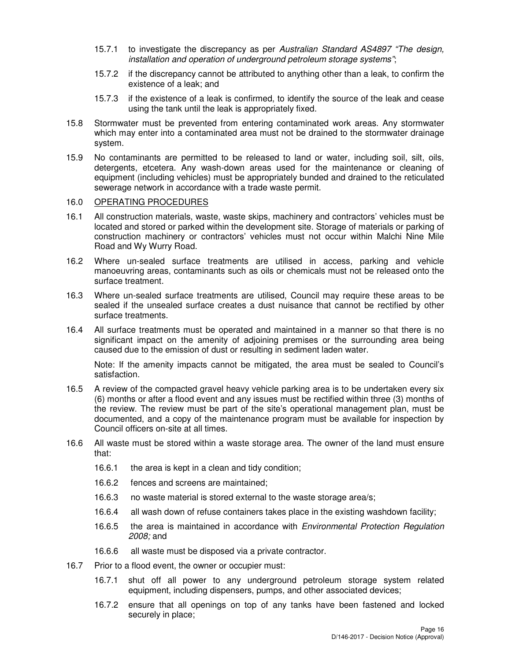- 15.7.1 to investigate the discrepancy as per Australian Standard AS4897 "The design, installation and operation of underground petroleum storage systems";
- 15.7.2 if the discrepancy cannot be attributed to anything other than a leak, to confirm the existence of a leak; and
- 15.7.3 if the existence of a leak is confirmed, to identify the source of the leak and cease using the tank until the leak is appropriately fixed.
- 15.8 Stormwater must be prevented from entering contaminated work areas. Any stormwater which may enter into a contaminated area must not be drained to the stormwater drainage system.
- 15.9 No contaminants are permitted to be released to land or water, including soil, silt, oils, detergents, etcetera. Any wash-down areas used for the maintenance or cleaning of equipment (including vehicles) must be appropriately bunded and drained to the reticulated sewerage network in accordance with a trade waste permit.

#### 16.0 OPERATING PROCEDURES

- 16.1 All construction materials, waste, waste skips, machinery and contractors' vehicles must be located and stored or parked within the development site. Storage of materials or parking of construction machinery or contractors' vehicles must not occur within Malchi Nine Mile Road and Wy Wurry Road.
- 16.2 Where un-sealed surface treatments are utilised in access, parking and vehicle manoeuvring areas, contaminants such as oils or chemicals must not be released onto the surface treatment.
- 16.3 Where un-sealed surface treatments are utilised, Council may require these areas to be sealed if the unsealed surface creates a dust nuisance that cannot be rectified by other surface treatments.
- 16.4 All surface treatments must be operated and maintained in a manner so that there is no significant impact on the amenity of adjoining premises or the surrounding area being caused due to the emission of dust or resulting in sediment laden water.

Note: If the amenity impacts cannot be mitigated, the area must be sealed to Council's satisfaction.

- 16.5 A review of the compacted gravel heavy vehicle parking area is to be undertaken every six (6) months or after a flood event and any issues must be rectified within three (3) months of the review. The review must be part of the site's operational management plan, must be documented, and a copy of the maintenance program must be available for inspection by Council officers on-site at all times.
- 16.6 All waste must be stored within a waste storage area. The owner of the land must ensure that:
	- 16.6.1 the area is kept in a clean and tidy condition;
	- 16.6.2 fences and screens are maintained;
	- 16.6.3 no waste material is stored external to the waste storage area/s;
	- 16.6.4 all wash down of refuse containers takes place in the existing washdown facility;
	- 16.6.5 the area is maintained in accordance with *Environmental Protection Regulation* 2008; and
	- 16.6.6 all waste must be disposed via a private contractor.
- 16.7 Prior to a flood event, the owner or occupier must:
	- 16.7.1 shut off all power to any underground petroleum storage system related equipment, including dispensers, pumps, and other associated devices;
	- 16.7.2 ensure that all openings on top of any tanks have been fastened and locked securely in place;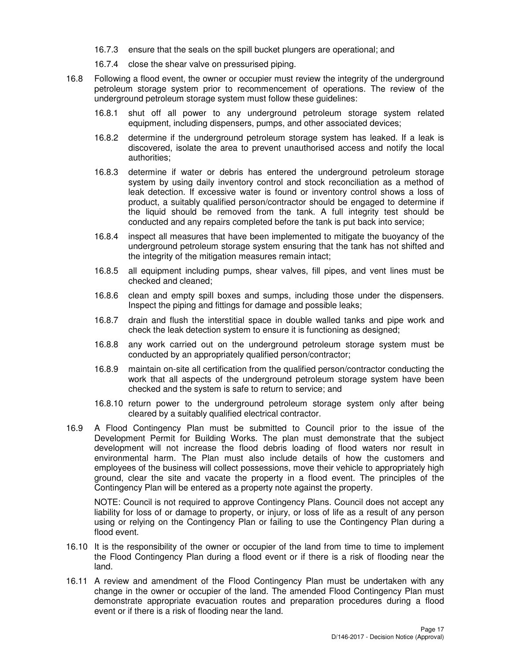- 16.7.3 ensure that the seals on the spill bucket plungers are operational; and
- 16.7.4 close the shear valve on pressurised piping.
- 16.8 Following a flood event, the owner or occupier must review the integrity of the underground petroleum storage system prior to recommencement of operations. The review of the underground petroleum storage system must follow these guidelines:
	- 16.8.1 shut off all power to any underground petroleum storage system related equipment, including dispensers, pumps, and other associated devices;
	- 16.8.2 determine if the underground petroleum storage system has leaked. If a leak is discovered, isolate the area to prevent unauthorised access and notify the local authorities;
	- 16.8.3 determine if water or debris has entered the underground petroleum storage system by using daily inventory control and stock reconciliation as a method of leak detection. If excessive water is found or inventory control shows a loss of product, a suitably qualified person/contractor should be engaged to determine if the liquid should be removed from the tank. A full integrity test should be conducted and any repairs completed before the tank is put back into service;
	- 16.8.4 inspect all measures that have been implemented to mitigate the buoyancy of the underground petroleum storage system ensuring that the tank has not shifted and the integrity of the mitigation measures remain intact;
	- 16.8.5 all equipment including pumps, shear valves, fill pipes, and vent lines must be checked and cleaned;
	- 16.8.6 clean and empty spill boxes and sumps, including those under the dispensers. Inspect the piping and fittings for damage and possible leaks;
	- 16.8.7 drain and flush the interstitial space in double walled tanks and pipe work and check the leak detection system to ensure it is functioning as designed;
	- 16.8.8 any work carried out on the underground petroleum storage system must be conducted by an appropriately qualified person/contractor;
	- 16.8.9 maintain on-site all certification from the qualified person/contractor conducting the work that all aspects of the underground petroleum storage system have been checked and the system is safe to return to service; and
	- 16.8.10 return power to the underground petroleum storage system only after being cleared by a suitably qualified electrical contractor.
- 16.9 A Flood Contingency Plan must be submitted to Council prior to the issue of the Development Permit for Building Works. The plan must demonstrate that the subject development will not increase the flood debris loading of flood waters nor result in environmental harm. The Plan must also include details of how the customers and employees of the business will collect possessions, move their vehicle to appropriately high ground, clear the site and vacate the property in a flood event. The principles of the Contingency Plan will be entered as a property note against the property.

NOTE: Council is not required to approve Contingency Plans. Council does not accept any liability for loss of or damage to property, or injury, or loss of life as a result of any person using or relying on the Contingency Plan or failing to use the Contingency Plan during a flood event.

- 16.10 It is the responsibility of the owner or occupier of the land from time to time to implement the Flood Contingency Plan during a flood event or if there is a risk of flooding near the land.
- 16.11 A review and amendment of the Flood Contingency Plan must be undertaken with any change in the owner or occupier of the land. The amended Flood Contingency Plan must demonstrate appropriate evacuation routes and preparation procedures during a flood event or if there is a risk of flooding near the land.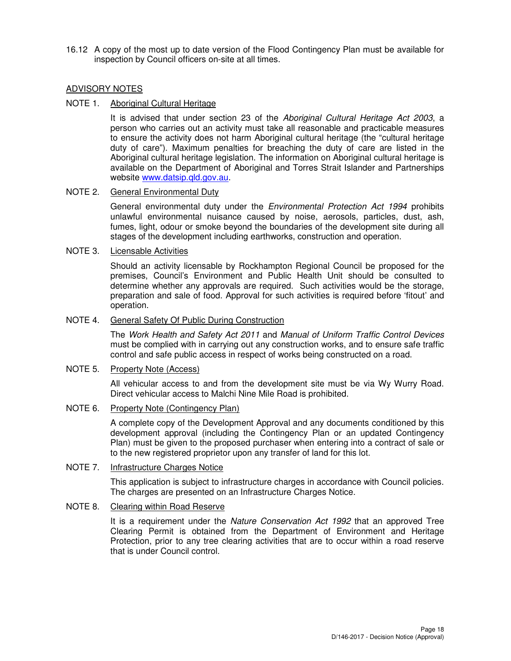16.12 A copy of the most up to date version of the Flood Contingency Plan must be available for inspection by Council officers on-site at all times.

## ADVISORY NOTES

#### NOTE 1. Aboriginal Cultural Heritage

It is advised that under section 23 of the Aboriginal Cultural Heritage Act 2003, a person who carries out an activity must take all reasonable and practicable measures to ensure the activity does not harm Aboriginal cultural heritage (the "cultural heritage duty of care"). Maximum penalties for breaching the duty of care are listed in the Aboriginal cultural heritage legislation. The information on Aboriginal cultural heritage is available on the Department of Aboriginal and Torres Strait Islander and Partnerships website www.datsip.qld.gov.au.

## NOTE 2. General Environmental Duty

General environmental duty under the *Environmental Protection Act 1994* prohibits unlawful environmental nuisance caused by noise, aerosols, particles, dust, ash, fumes, light, odour or smoke beyond the boundaries of the development site during all stages of the development including earthworks, construction and operation.

#### NOTE 3. Licensable Activities

Should an activity licensable by Rockhampton Regional Council be proposed for the premises, Council's Environment and Public Health Unit should be consulted to determine whether any approvals are required. Such activities would be the storage, preparation and sale of food. Approval for such activities is required before 'fitout' and operation.

#### NOTE 4. General Safety Of Public During Construction

The Work Health and Safety Act 2011 and Manual of Uniform Traffic Control Devices must be complied with in carrying out any construction works, and to ensure safe traffic control and safe public access in respect of works being constructed on a road.

#### NOTE 5. Property Note (Access)

All vehicular access to and from the development site must be via Wy Wurry Road. Direct vehicular access to Malchi Nine Mile Road is prohibited.

#### NOTE 6. Property Note (Contingency Plan)

A complete copy of the Development Approval and any documents conditioned by this development approval (including the Contingency Plan or an updated Contingency Plan) must be given to the proposed purchaser when entering into a contract of sale or to the new registered proprietor upon any transfer of land for this lot.

### NOTE 7. Infrastructure Charges Notice

This application is subject to infrastructure charges in accordance with Council policies. The charges are presented on an Infrastructure Charges Notice.

#### NOTE 8. Clearing within Road Reserve

It is a requirement under the Nature Conservation Act 1992 that an approved Tree Clearing Permit is obtained from the Department of Environment and Heritage Protection, prior to any tree clearing activities that are to occur within a road reserve that is under Council control.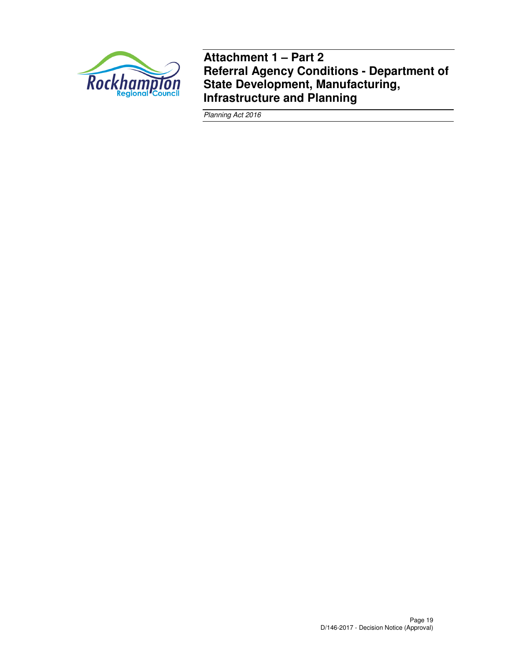

**Attachment 1 – Part 2 Referral Agency Conditions - Department of State Development, Manufacturing, Infrastructure and Planning** 

Planning Act 2016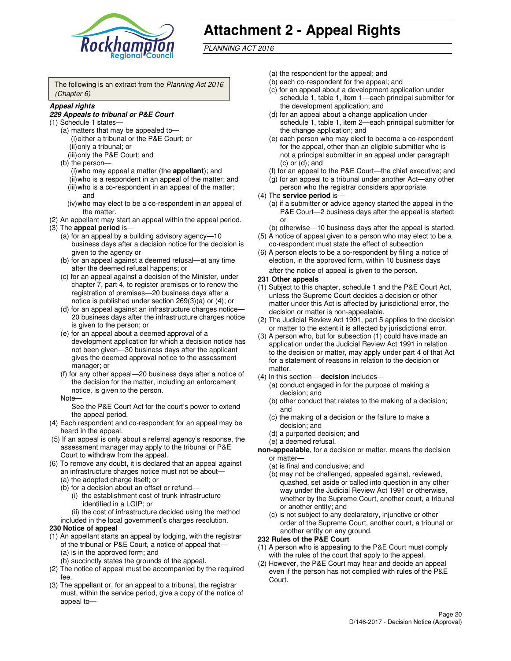

# **Attachment 2 - Appeal Rights**

PLANNING ACT 2016

The following is an extract from the Planning Act 2016 (Chapter 6)

#### **Appeal rights**

#### **229 Appeals to tribunal or P&E Court**

- (1) Schedule 1 states—
	- (a) matters that may be appealed to— (i) either a tribunal or the P&E Court; or (ii) only a tribunal; or (iii) only the P&E Court; and
	- (b) the person—
		- (i) who may appeal a matter (the **appellant**); and
		- (ii) who is a respondent in an appeal of the matter; and (iii) who is a co-respondent in an appeal of the matter; and
		- (iv) who may elect to be a co-respondent in an appeal of the matter.
- (2) An appellant may start an appeal within the appeal period.
- (3) The **appeal period** is—
	- (a) for an appeal by a building advisory agency—10 business days after a decision notice for the decision is given to the agency or
	- (b) for an appeal against a deemed refusal—at any time after the deemed refusal happens; or
	- (c) for an appeal against a decision of the Minister, under chapter 7, part 4, to register premises or to renew the registration of premises—20 business days after a notice is published under section 269(3)(a) or (4); or
	- (d) for an appeal against an infrastructure charges notice— 20 business days after the infrastructure charges notice is given to the person; or
	- (e) for an appeal about a deemed approval of a development application for which a decision notice has not been given—30 business days after the applicant gives the deemed approval notice to the assessment manager; or
	- (f) for any other appeal—20 business days after a notice of the decision for the matter, including an enforcement notice, is given to the person.
	- Note—

See the P&E Court Act for the court's power to extend the appeal period.

- (4) Each respondent and co-respondent for an appeal may be heard in the appeal.
- (5) If an appeal is only about a referral agency's response, the assessment manager may apply to the tribunal or P&E Court to withdraw from the appeal.
- (6) To remove any doubt, it is declared that an appeal against an infrastructure charges notice must not be about—
	- (a) the adopted charge itself; or
	- (b) for a decision about an offset or refund—
		- (i) the establishment cost of trunk infrastructure identified in a LGIP; or
		- (ii) the cost of infrastructure decided using the method
- included in the local government's charges resolution. **230 Notice of appeal**
- (1) An appellant starts an appeal by lodging, with the registrar
	- of the tribunal or P&E Court, a notice of appeal that— (a) is in the approved form; and
		- (b) succinctly states the grounds of the appeal.
- (2) The notice of appeal must be accompanied by the required fee.
- (3) The appellant or, for an appeal to a tribunal, the registrar must, within the service period, give a copy of the notice of appeal to—
- (a) the respondent for the appeal; and
- (b) each co-respondent for the appeal; and
- (c) for an appeal about a development application under schedule 1, table 1, item 1—each principal submitter for the development application; and
- (d) for an appeal about a change application under schedule 1, table 1, item 2—each principal submitter for the change application; and
- (e) each person who may elect to become a co-respondent for the appeal, other than an eligible submitter who is not a principal submitter in an appeal under paragraph  $(c)$  or  $(d)$ ; and
- (f) for an appeal to the P&E Court—the chief executive; and
- (g) for an appeal to a tribunal under another Act—any other person who the registrar considers appropriate.
- (4) The **service period** is—
	- (a) if a submitter or advice agency started the appeal in the P&E Court—2 business days after the appeal is started; or
	- (b) otherwise—10 business days after the appeal is started.
- (5) A notice of appeal given to a person who may elect to be a co-respondent must state the effect of subsection
- (6) A person elects to be a co-respondent by filing a notice of election, in the approved form, within 10 business days after the notice of appeal is given to the person*.*
- **231 Other appeals**
- (1) Subject to this chapter, schedule 1 and the P&E Court Act, unless the Supreme Court decides a decision or other matter under this Act is affected by jurisdictional error, the decision or matter is non-appealable.
- (2) The Judicial Review Act 1991, part 5 applies to the decision or matter to the extent it is affected by jurisdictional error.
- (3) A person who, but for subsection (1) could have made an application under the Judicial Review Act 1991 in relation to the decision or matter, may apply under part 4 of that Act for a statement of reasons in relation to the decision or matter.
- (4) In this section— **decision** includes—
	- (a) conduct engaged in for the purpose of making a decision; and
	- (b) other conduct that relates to the making of a decision; and
	- (c) the making of a decision or the failure to make a decision; and
	- (d) a purported decision; and
	- (e) a deemed refusal.

**non-appealable**, for a decision or matter, means the decision or matter—

- (a) is final and conclusive; and
- (b) may not be challenged, appealed against, reviewed, quashed, set aside or called into question in any other way under the Judicial Review Act 1991 or otherwise, whether by the Supreme Court, another court, a tribunal or another entity; and
- (c) is not subject to any declaratory, injunctive or other order of the Supreme Court, another court, a tribunal or another entity on any ground.

#### **232 Rules of the P&E Court**

- (1) A person who is appealing to the P&E Court must comply with the rules of the court that apply to the appeal.
- (2) However, the P&E Court may hear and decide an appeal even if the person has not complied with rules of the P&E Court.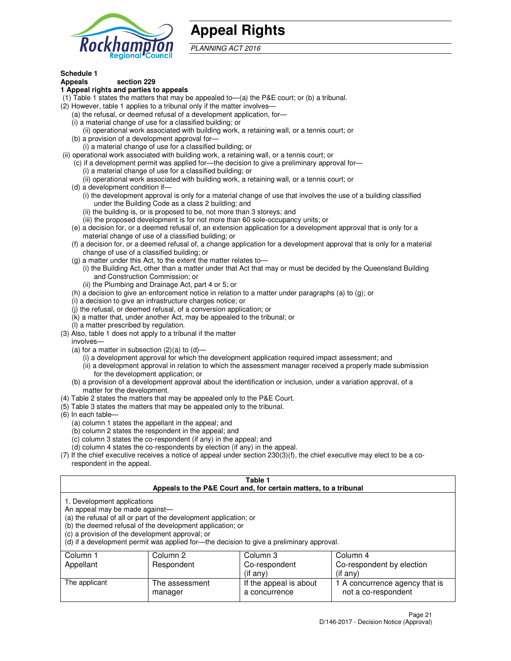

## **Appeal Rights**

PLANNING ACT 2016

## **Schedule 1**

## **Appeals section 229**

#### **1 Appeal rights and parties to appeals**

- (1) Table 1 states the matters that may be appealed to—(a) the P&E court; or (b) a tribunal.
- (2) However, table 1 applies to a tribunal only if the matter involves—
	- (a) the refusal, or deemed refusal of a development application, for—
	- (i) a material change of use for a classified building; or
	- (ii) operational work associated with building work, a retaining wall, or a tennis court; or
	- (b) a provision of a development approval for—
	- (i) a material change of use for a classified building; or
- (ii) operational work associated with building work, a retaining wall, or a tennis court; or
	- (c) if a development permit was applied for—the decision to give a preliminary approval for—
		- (i) a material change of use for a classified building; or
		- (ii) operational work associated with building work, a retaining wall, or a tennis court; or
	- (d) a development condition if—
		- (i) the development approval is only for a material change of use that involves the use of a building classified under the Building Code as a class 2 building; and
		- (ii) the building is, or is proposed to be, not more than 3 storeys; and
		- (iii) the proposed development is for not more than 60 sole-occupancy units; or
	- (e) a decision for, or a deemed refusal of, an extension application for a development approval that is only for a material change of use of a classified building; or
	- (f) a decision for, or a deemed refusal of, a change application for a development approval that is only for a material change of use of a classified building; or
	- (g) a matter under this Act, to the extent the matter relates to—
		- (i) the Building Act, other than a matter under that Act that may or must be decided by the Queensland Building and Construction Commission; or
		- (ii) the Plumbing and Drainage Act, part 4 or 5; or
	- (h) a decision to give an enforcement notice in relation to a matter under paragraphs (a) to (g); or
	- (i) a decision to give an infrastructure charges notice; or
	- (j) the refusal, or deemed refusal, of a conversion application; or
	- (k) a matter that, under another Act, may be appealed to the tribunal; or
	- (l) a matter prescribed by regulation.
- (3) Also, table 1 does not apply to a tribunal if the matter
	- involves—
	- (a) for a matter in subsection  $(2)(a)$  to  $(d)$ 
		- (i) a development approval for which the development application required impact assessment; and
		- (ii) a development approval in relation to which the assessment manager received a properly made submission for the development application; or
	- (b) a provision of a development approval about the identification or inclusion, under a variation approval, of a matter for the development.
- (4) Table 2 states the matters that may be appealed only to the P&E Court.
- (5) Table 3 states the matters that may be appealed only to the tribunal.
- (6) In each table—
	- (a) column 1 states the appellant in the appeal; and
	- (b) column 2 states the respondent in the appeal; and
	- (c) column 3 states the co-respondent (if any) in the appeal; and
	- (d) column 4 states the co-respondents by election (if any) in the appeal.
- $(7)$  If the chief executive receives a notice of appeal under section  $230(3)(f)$ , the chief executive may elect to be a corespondent in the appeal.

| Table 1<br>Appeals to the P&E Court and, for certain matters, to a tribunal                                      |                                                                                                                                |                                                                                          |                                                       |
|------------------------------------------------------------------------------------------------------------------|--------------------------------------------------------------------------------------------------------------------------------|------------------------------------------------------------------------------------------|-------------------------------------------------------|
| 1. Development applications<br>An appeal may be made against-<br>(c) a provision of the development approval; or | (a) the refusal of all or part of the development application; or<br>(b) the deemed refusal of the development application; or | (d) if a development permit was applied for—the decision to give a preliminary approval. |                                                       |
| Column 1                                                                                                         | Column 2                                                                                                                       | Column 3                                                                                 | Column 4                                              |
| Appellant                                                                                                        | Respondent                                                                                                                     | Co-respondent                                                                            | Co-respondent by election                             |
|                                                                                                                  |                                                                                                                                | (if any)                                                                                 | $($ if any $)$                                        |
| The applicant                                                                                                    | The assessment<br>manager                                                                                                      | If the appeal is about<br>a concurrence                                                  | 1 A concurrence agency that is<br>not a co-respondent |
|                                                                                                                  |                                                                                                                                |                                                                                          |                                                       |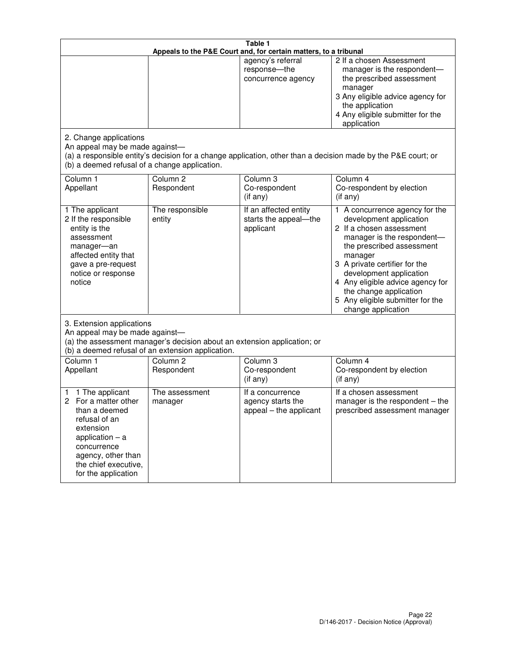|                                                                                                                                                                                                         | Table 1<br>Appeals to the P&E Court and, for certain matters, to a tribunal                                                                                                                  |                                                                 |                                                                                                                                                                                                                                                                                                                                                 |  |
|---------------------------------------------------------------------------------------------------------------------------------------------------------------------------------------------------------|----------------------------------------------------------------------------------------------------------------------------------------------------------------------------------------------|-----------------------------------------------------------------|-------------------------------------------------------------------------------------------------------------------------------------------------------------------------------------------------------------------------------------------------------------------------------------------------------------------------------------------------|--|
|                                                                                                                                                                                                         |                                                                                                                                                                                              | agency's referral<br>response-the<br>concurrence agency         | 2 If a chosen Assessment<br>manager is the respondent-<br>the prescribed assessment<br>manager<br>3 Any eligible advice agency for<br>the application<br>4 Any eligible submitter for the<br>application                                                                                                                                        |  |
| 2. Change applications<br>An appeal may be made against-<br>(b) a deemed refusal of a change application.                                                                                               |                                                                                                                                                                                              |                                                                 | (a) a responsible entity's decision for a change application, other than a decision made by the P&E court; or                                                                                                                                                                                                                                   |  |
| Column 1<br>Appellant                                                                                                                                                                                   | Column <sub>2</sub><br>Respondent                                                                                                                                                            | Column <sub>3</sub><br>Co-respondent<br>(if any)                | Column 4<br>Co-respondent by election<br>(if any)                                                                                                                                                                                                                                                                                               |  |
| 1 The applicant<br>2 If the responsible<br>entity is the<br>assessment<br>manager-an<br>affected entity that<br>gave a pre-request<br>notice or response<br>notice                                      | The responsible<br>entity                                                                                                                                                                    | If an affected entity<br>starts the appeal-the<br>applicant     | 1 A concurrence agency for the<br>development application<br>2 If a chosen assessment<br>manager is the respondent-<br>the prescribed assessment<br>manager<br>3 A private certifier for the<br>development application<br>4 Any eligible advice agency for<br>the change application<br>5 Any eligible submitter for the<br>change application |  |
|                                                                                                                                                                                                         | 3. Extension applications<br>An appeal may be made against-<br>(a) the assessment manager's decision about an extension application; or<br>(b) a deemed refusal of an extension application. |                                                                 |                                                                                                                                                                                                                                                                                                                                                 |  |
| Column 1<br>Appellant                                                                                                                                                                                   | Column <sub>2</sub><br>Respondent                                                                                                                                                            | Column 3<br>Co-respondent<br>(if any)                           | Column 4<br>Co-respondent by election<br>(if any)                                                                                                                                                                                                                                                                                               |  |
| 1 The applicant<br>1<br>For a matter other<br>2<br>than a deemed<br>refusal of an<br>extension<br>application $-$ a<br>concurrence<br>agency, other than<br>the chief executive,<br>for the application | The assessment<br>manager                                                                                                                                                                    | If a concurrence<br>agency starts the<br>appeal - the applicant | If a chosen assessment<br>manager is the respondent – the<br>prescribed assessment manager                                                                                                                                                                                                                                                      |  |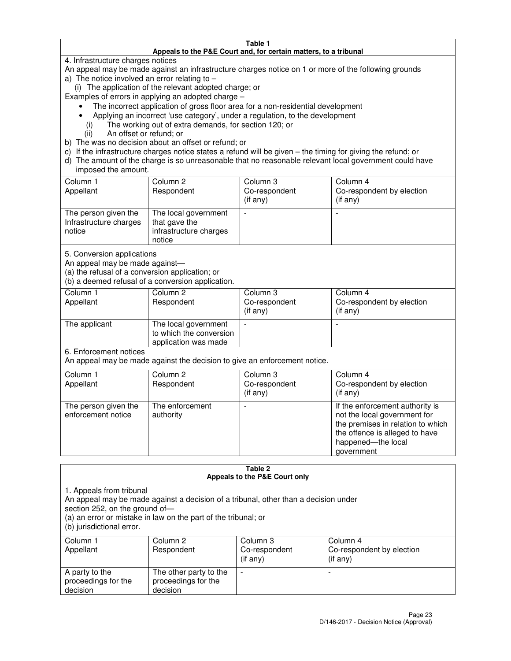#### **Table 1 Appeals to the P&E Court and, for certain matters, to a tribunal**

4. Infrastructure charges notices

An appeal may be made against an infrastructure charges notice on 1 or more of the following grounds

- a) The notice involved an error relating to
	- (i) The application of the relevant adopted charge; or
- Examples of errors in applying an adopted charge
	- The incorrect application of gross floor area for a non-residential development
	- Applying an incorrect 'use category', under a regulation, to the development
		- (i) The working out of extra demands, for section 120; or
		- (ii) An offset or refund; or
- b) The was no decision about an offset or refund; or
- c) If the infrastructure charges notice states a refund will be given the timing for giving the refund; or
- d) The amount of the charge is so unreasonable that no reasonable relevant local government could have imposed the amount.

| Column 1<br>Appellant                                    | Column 2<br>Respondent                                                    | Column 3<br>Co-respondent<br>$($ if any $)$ | Column 4<br>Co-respondent by election<br>$($ if any $)$ |
|----------------------------------------------------------|---------------------------------------------------------------------------|---------------------------------------------|---------------------------------------------------------|
| The person given the<br>Infrastructure charges<br>notice | The local government<br>that gave the<br>infrastructure charges<br>notice |                                             |                                                         |

5. Conversion applications

An appeal may be made against—

(a) the refusal of a conversion application; or

(b) a deemed refusal of a conversion application.

| Column 1<br>Appellant | Column 2<br>Respondent                                                  | Column 3<br>Co-respondent<br>$($ if any $)$ | Column 4<br>Co-respondent by election<br>$($ if any $)$ |
|-----------------------|-------------------------------------------------------------------------|---------------------------------------------|---------------------------------------------------------|
| The applicant         | The local government<br>to which the conversion<br>application was made |                                             |                                                         |

6. Enforcement notices

An appeal may be made against the decision to give an enforcement notice.

| Column 1<br>Appellant                      | Column 2<br>Respondent       | Column 3<br>Co-respondent<br>$($ if any $)$ | Column 4<br>Co-respondent by election<br>(if any)                                                                                                                          |
|--------------------------------------------|------------------------------|---------------------------------------------|----------------------------------------------------------------------------------------------------------------------------------------------------------------------------|
| The person given the<br>enforcement notice | The enforcement<br>authority |                                             | If the enforcement authority is<br>not the local government for<br>the premises in relation to which<br>the offence is alleged to have<br>happened-the local<br>government |

#### **Table 2 Appeals to the P&E Court only**

1. Appeals from tribunal

An appeal may be made against a decision of a tribunal, other than a decision under

section 252, on the ground of—

(a) an error or mistake in law on the part of the tribunal; or

(b) jurisdictional error.

| Column 1<br>Appellant                             | Column 2<br>Respondent                                    | Column 3<br>Co-respondent<br>(if any) | Column 4<br>Co-respondent by election<br>(if any) |
|---------------------------------------------------|-----------------------------------------------------------|---------------------------------------|---------------------------------------------------|
| A party to the<br>proceedings for the<br>decision | The other party to the<br>proceedings for the<br>decision | -                                     |                                                   |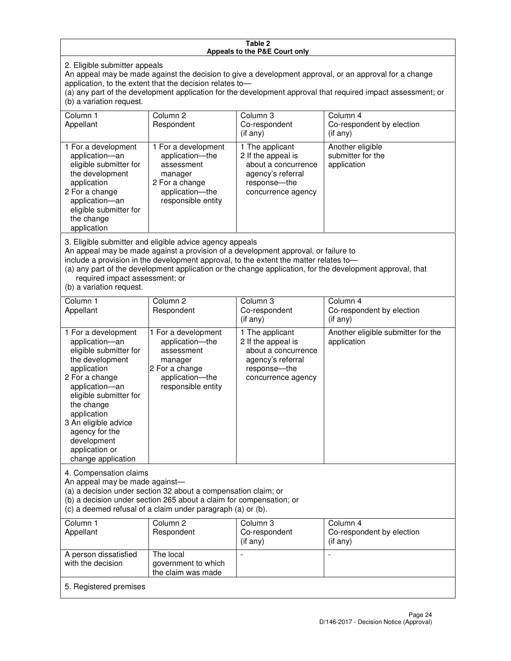#### **Table 2 Appeals to the P&E Court only**

2. Eligible submitter appeals

An appeal may be made against the decision to give a development approval, or an approval for a change application, to the extent that the decision relates to—

(a) any part of the development application for the development approval that required impact assessment; or (b) a variation request.

| Column 1<br>Appellant                                                                                                                                                                                                                                                                                                                                                                                              | Column <sub>2</sub><br>Respondent                                                                                          | Column 3<br>Co-respondent<br>(if any)                                                                                     | Column 4<br>Co-respondent by election<br>(i f any)   |
|--------------------------------------------------------------------------------------------------------------------------------------------------------------------------------------------------------------------------------------------------------------------------------------------------------------------------------------------------------------------------------------------------------------------|----------------------------------------------------------------------------------------------------------------------------|---------------------------------------------------------------------------------------------------------------------------|------------------------------------------------------|
| 1 For a development<br>application-an<br>eligible submitter for<br>the development<br>application<br>2 For a change<br>application-an<br>eligible submitter for<br>the change<br>application                                                                                                                                                                                                                       | 1 For a development<br>application-the<br>assessment<br>manager<br>2 For a change<br>application-the<br>responsible entity | 1 The applicant<br>2 If the appeal is<br>about a concurrence<br>agency's referral<br>response---the<br>concurrence agency | Another eligible<br>submitter for the<br>application |
| 3. Eligible submitter and eligible advice agency appeals<br>An appeal may be made against a provision of a development approval, or failure to<br>include a provision in the development approval, to the extent the matter relates to-<br>(a) any part of the development application or the change application, for the development approval, that<br>required impact assessment; or<br>(b) a variation request. |                                                                                                                            |                                                                                                                           |                                                      |
| Column 1<br>Appellant                                                                                                                                                                                                                                                                                                                                                                                              | Column <sub>2</sub><br>Respondent                                                                                          | Column 3<br>Co-respondent<br>(if any)                                                                                     | Column 4<br>Co-respondent by election<br>$(if$ any)  |
| 1 For a development<br>application-an<br>eligible submitter for<br>the development                                                                                                                                                                                                                                                                                                                                 | 1 For a development<br>application-the<br>assessment<br>manager                                                            | 1 The applicant<br>2 If the appeal is<br>about a concurrence<br>agency's referral                                         | Another eligible submitter for the<br>application    |

response—the concurrence agency

change application 4. Compensation claims

application 2 For a change application—an eligible submitter for

the change application 3 An eligible advice agency for the development application or

An appeal may be made against—

(a) a decision under section 32 about a compensation claim; or

2 For a change application—the responsible entity

(b) a decision under section 265 about a claim for compensation; or

(c) a deemed refusal of a claim under paragraph (a) or (b).

| Column 1<br>Appellant                      | Column 2<br>Respondent                                 | Column 3<br>Co-respondent<br>(if any) | Column 4<br>Co-respondent by election<br>$($ if any $)$ |
|--------------------------------------------|--------------------------------------------------------|---------------------------------------|---------------------------------------------------------|
| A person dissatisfied<br>with the decision | The local<br>government to which<br>the claim was made | -                                     |                                                         |
| 5. Registered premises                     |                                                        |                                       |                                                         |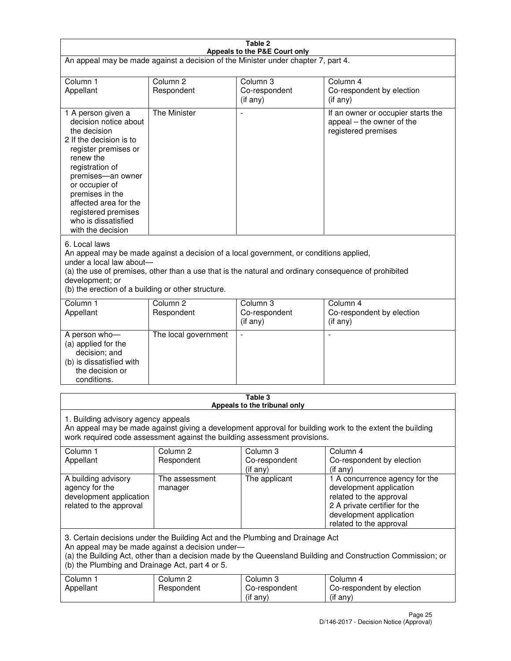| Table 2                                                                                                                                                                                                                                                                                                              |                                   |                                       |                                                                                                                                                                             |  |  |
|----------------------------------------------------------------------------------------------------------------------------------------------------------------------------------------------------------------------------------------------------------------------------------------------------------------------|-----------------------------------|---------------------------------------|-----------------------------------------------------------------------------------------------------------------------------------------------------------------------------|--|--|
| Appeals to the P&E Court only<br>An appeal may be made against a decision of the Minister under chapter 7, part 4.                                                                                                                                                                                                   |                                   |                                       |                                                                                                                                                                             |  |  |
| Column 1                                                                                                                                                                                                                                                                                                             | Column <sub>2</sub>               | Column <sub>3</sub>                   | Column 4                                                                                                                                                                    |  |  |
| Appellant                                                                                                                                                                                                                                                                                                            | Respondent                        | Co-respondent<br>$($ if any $)$       | Co-respondent by election<br>(if any)                                                                                                                                       |  |  |
| 1 A person given a<br>decision notice about<br>the decision<br>2 If the decision is to<br>register premises or<br>renew the<br>registration of<br>premises-an owner<br>or occupier of<br>premises in the<br>affected area for the<br>registered premises<br>who is dissatisfied<br>with the decision                 | <b>The Minister</b>               | ÷,                                    | If an owner or occupier starts the<br>appeal – the owner of the<br>registered premises                                                                                      |  |  |
| 6. Local laws<br>An appeal may be made against a decision of a local government, or conditions applied,<br>under a local law about-<br>(a) the use of premises, other than a use that is the natural and ordinary consequence of prohibited<br>development; or<br>(b) the erection of a building or other structure. |                                   |                                       |                                                                                                                                                                             |  |  |
| Column 1<br>Appellant                                                                                                                                                                                                                                                                                                | Column 2<br>Respondent            | Column 3<br>Co-respondent<br>(if any) | Column 4<br>Co-respondent by election<br>(if any)                                                                                                                           |  |  |
| A person who-<br>(a) applied for the<br>decision; and<br>(b) is dissatisfied with<br>the decision or<br>conditions.                                                                                                                                                                                                  | The local government              |                                       |                                                                                                                                                                             |  |  |
| Table 3<br>Appeals to the tribunal only                                                                                                                                                                                                                                                                              |                                   |                                       |                                                                                                                                                                             |  |  |
| 1. Building advisory agency appeals<br>An appeal may be made against giving a development approval for building work to the extent the building<br>work required code assessment against the building assessment provisions.                                                                                         |                                   |                                       |                                                                                                                                                                             |  |  |
| Column 1<br>Appellant                                                                                                                                                                                                                                                                                                | Column <sub>2</sub><br>Respondent | Column 3<br>Co-respondent<br>(if any) | Column 4<br>Co-respondent by election<br>(if any)                                                                                                                           |  |  |
| A building advisory<br>agency for the<br>development application<br>related to the approval                                                                                                                                                                                                                          | The assessment<br>manager         | The applicant                         | 1 A concurrence agency for the<br>development application<br>related to the approval<br>2 A private certifier for the<br>development application<br>related to the approval |  |  |
| 3. Certain decisions under the Building Act and the Plumbing and Drainage Act<br>An appeal may be made against a decision under-<br>(a) the Building Act, other than a decision made by the Queensland Building and Construction Commission; or<br>(b) the Plumbing and Drainage Act, part 4 or 5.                   |                                   |                                       |                                                                                                                                                                             |  |  |
| Column 1<br>Appellant                                                                                                                                                                                                                                                                                                | Column <sub>2</sub><br>Respondent | Column 3<br>Co-respondent<br>(if any) | Column 4<br>Co-respondent by election<br>(if any)                                                                                                                           |  |  |